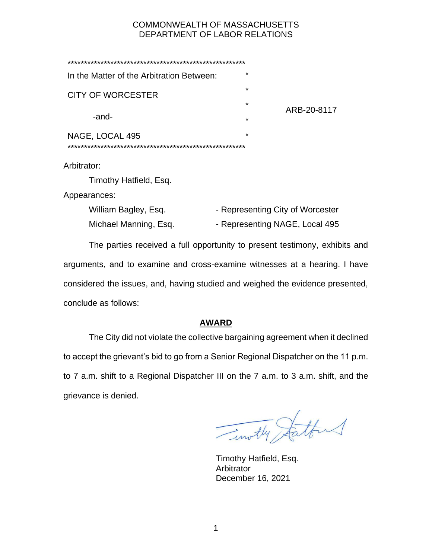# COMMONWEALTH OF MASSACHUSETTS DEPARTMENT OF LABOR RELATIONS

| In the Matter of the Arbitration Between: | $\star$            |             |
|-------------------------------------------|--------------------|-------------|
| <b>CITY OF WORCESTER</b>                  | $\star$<br>$\star$ |             |
| -and-                                     | $\star$            | ARB-20-8117 |
| NAGE, LOCAL 495                           | $\star$            |             |

Arbitrator:

Timothy Hatfield, Esq.

Appearances:

| William Bagley, Esq.  | - Representing City of Worcester |
|-----------------------|----------------------------------|
| Michael Manning, Esq. | - Representing NAGE, Local 495   |

The parties received a full opportunity to present testimony, exhibits and arguments, and to examine and cross-examine witnesses at a hearing. I have considered the issues, and, having studied and weighed the evidence presented, conclude as follows:

# **AWARD**

The City did not violate the collective bargaining agreement when it declined to accept the grievant's bid to go from a Senior Regional Dispatcher on the 11 p.m. to 7 a.m. shift to a Regional Dispatcher III on the 7 a.m. to 3 a.m. shift, and the grievance is denied.

Timothy Statten

Timothy Hatfield, Esq. Arbitrator December 16, 2021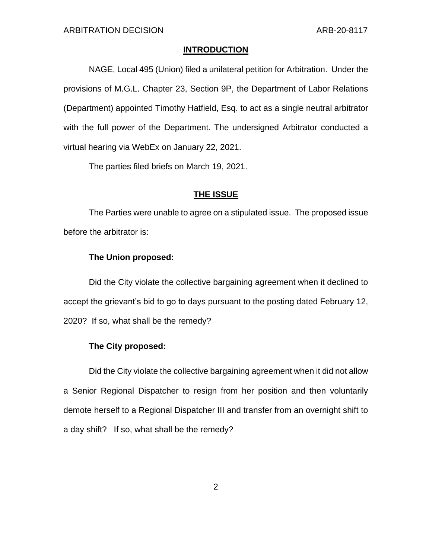### **INTRODUCTION**

NAGE, Local 495 (Union) filed a unilateral petition for Arbitration. Under the provisions of M.G.L. Chapter 23, Section 9P, the Department of Labor Relations (Department) appointed Timothy Hatfield, Esq. to act as a single neutral arbitrator with the full power of the Department. The undersigned Arbitrator conducted a virtual hearing via WebEx on January 22, 2021.

The parties filed briefs on March 19, 2021.

### **THE ISSUE**

The Parties were unable to agree on a stipulated issue. The proposed issue before the arbitrator is:

## **The Union proposed:**

Did the City violate the collective bargaining agreement when it declined to accept the grievant's bid to go to days pursuant to the posting dated February 12, 2020? If so, what shall be the remedy?

## **The City proposed:**

Did the City violate the collective bargaining agreement when it did not allow a Senior Regional Dispatcher to resign from her position and then voluntarily demote herself to a Regional Dispatcher III and transfer from an overnight shift to a day shift? If so, what shall be the remedy?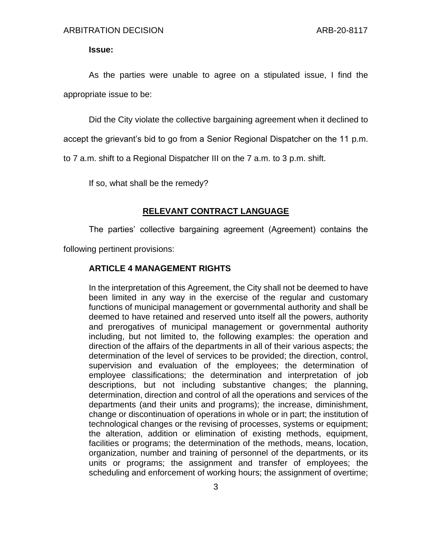**Issue:**

As the parties were unable to agree on a stipulated issue, I find the appropriate issue to be:

Did the City violate the collective bargaining agreement when it declined to

accept the grievant's bid to go from a Senior Regional Dispatcher on the 11 p.m.

to 7 a.m. shift to a Regional Dispatcher III on the 7 a.m. to 3 p.m. shift.

If so, what shall be the remedy?

#### **RELEVANT CONTRACT LANGUAGE**

The parties' collective bargaining agreement (Agreement) contains the

following pertinent provisions:

## **ARTICLE 4 MANAGEMENT RIGHTS**

In the interpretation of this Agreement, the City shall not be deemed to have been limited in any way in the exercise of the regular and customary functions of municipal management or governmental authority and shall be deemed to have retained and reserved unto itself all the powers, authority and prerogatives of municipal management or governmental authority including, but not limited to, the following examples: the operation and direction of the affairs of the departments in all of their various aspects; the determination of the level of services to be provided; the direction, control, supervision and evaluation of the employees; the determination of employee classifications; the determination and interpretation of job descriptions, but not including substantive changes; the planning, determination, direction and control of all the operations and services of the departments (and their units and programs); the increase, diminishment, change or discontinuation of operations in whole or in part; the institution of technological changes or the revising of processes, systems or equipment; the alteration, addition or elimination of existing methods, equipment, facilities or programs; the determination of the methods, means, location, organization, number and training of personnel of the departments, or its units or programs; the assignment and transfer of employees; the scheduling and enforcement of working hours; the assignment of overtime;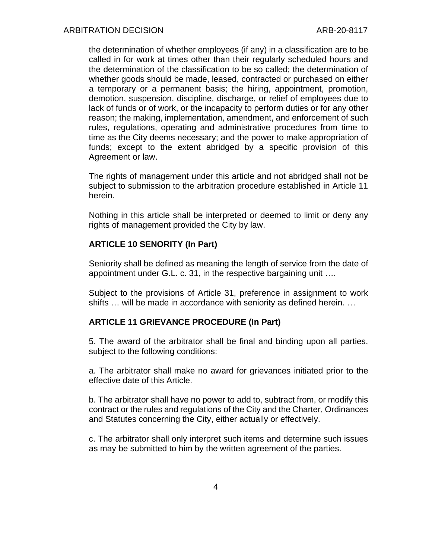the determination of whether employees (if any) in a classification are to be called in for work at times other than their regularly scheduled hours and the determination of the classification to be so called; the determination of whether goods should be made, leased, contracted or purchased on either a temporary or a permanent basis; the hiring, appointment, promotion, demotion, suspension, discipline, discharge, or relief of employees due to lack of funds or of work, or the incapacity to perform duties or for any other reason; the making, implementation, amendment, and enforcement of such rules, regulations, operating and administrative procedures from time to time as the City deems necessary; and the power to make appropriation of funds; except to the extent abridged by a specific provision of this Agreement or law.

The rights of management under this article and not abridged shall not be subject to submission to the arbitration procedure established in Article 11 herein.

Nothing in this article shall be interpreted or deemed to limit or deny any rights of management provided the City by law.

## **ARTICLE 10 SENORITY (In Part)**

Seniority shall be defined as meaning the length of service from the date of appointment under G.L. c. 31, in the respective bargaining unit ….

Subject to the provisions of Article 31, preference in assignment to work shifts … will be made in accordance with seniority as defined herein. …

## **ARTICLE 11 GRIEVANCE PROCEDURE (In Part)**

5. The award of the arbitrator shall be final and binding upon all parties, subject to the following conditions:

a. The arbitrator shall make no award for grievances initiated prior to the effective date of this Article.

b. The arbitrator shall have no power to add to, subtract from, or modify this contract or the rules and regulations of the City and the Charter, Ordinances and Statutes concerning the City, either actually or effectively.

c. The arbitrator shall only interpret such items and determine such issues as may be submitted to him by the written agreement of the parties.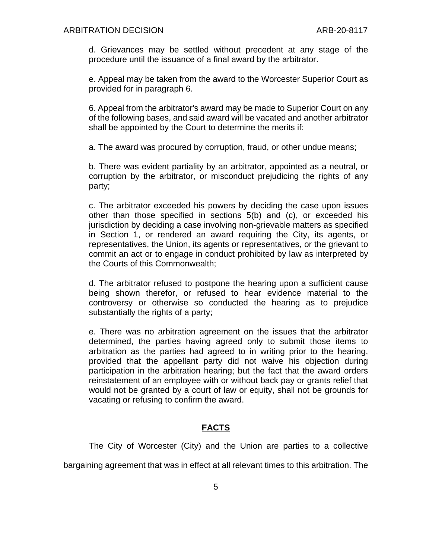d. Grievances may be settled without precedent at any stage of the procedure until the issuance of a final award by the arbitrator.

e. Appeal may be taken from the award to the Worcester Superior Court as provided for in paragraph 6.

6. Appeal from the arbitrator's award may be made to Superior Court on any of the following bases, and said award will be vacated and another arbitrator shall be appointed by the Court to determine the merits if:

a. The award was procured by corruption, fraud, or other undue means;

b. There was evident partiality by an arbitrator, appointed as a neutral, or corruption by the arbitrator, or misconduct prejudicing the rights of any party;

c. The arbitrator exceeded his powers by deciding the case upon issues other than those specified in sections 5(b) and (c), or exceeded his jurisdiction by deciding a case involving non-grievable matters as specified in Section 1, or rendered an award requiring the City, its agents, or representatives, the Union, its agents or representatives, or the grievant to commit an act or to engage in conduct prohibited by law as interpreted by the Courts of this Commonwealth;

d. The arbitrator refused to postpone the hearing upon a sufficient cause being shown therefor, or refused to hear evidence material to the controversy or otherwise so conducted the hearing as to prejudice substantially the rights of a party;

e. There was no arbitration agreement on the issues that the arbitrator determined, the parties having agreed only to submit those items to arbitration as the parties had agreed to in writing prior to the hearing, provided that the appellant party did not waive his objection during participation in the arbitration hearing; but the fact that the award orders reinstatement of an employee with or without back pay or grants relief that would not be granted by a court of law or equity, shall not be grounds for vacating or refusing to confirm the award.

## **FACTS**

The City of Worcester (City) and the Union are parties to a collective

bargaining agreement that was in effect at all relevant times to this arbitration. The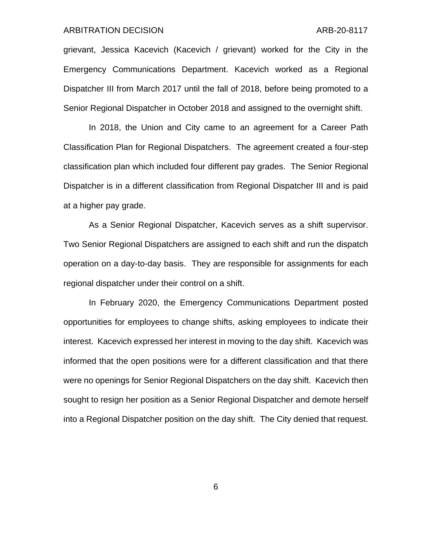#### ARBITRATION DECISION ARB-20-8117

grievant, Jessica Kacevich (Kacevich / grievant) worked for the City in the Emergency Communications Department. Kacevich worked as a Regional Dispatcher III from March 2017 until the fall of 2018, before being promoted to a Senior Regional Dispatcher in October 2018 and assigned to the overnight shift.

In 2018, the Union and City came to an agreement for a Career Path Classification Plan for Regional Dispatchers. The agreement created a four-step classification plan which included four different pay grades. The Senior Regional Dispatcher is in a different classification from Regional Dispatcher III and is paid at a higher pay grade.

As a Senior Regional Dispatcher, Kacevich serves as a shift supervisor. Two Senior Regional Dispatchers are assigned to each shift and run the dispatch operation on a day-to-day basis. They are responsible for assignments for each regional dispatcher under their control on a shift.

In February 2020, the Emergency Communications Department posted opportunities for employees to change shifts, asking employees to indicate their interest. Kacevich expressed her interest in moving to the day shift. Kacevich was informed that the open positions were for a different classification and that there were no openings for Senior Regional Dispatchers on the day shift. Kacevich then sought to resign her position as a Senior Regional Dispatcher and demote herself into a Regional Dispatcher position on the day shift. The City denied that request.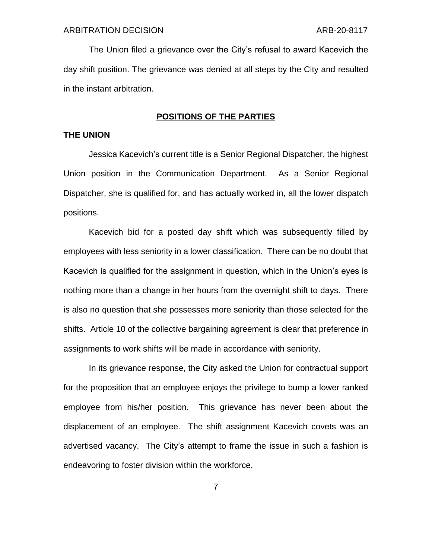The Union filed a grievance over the City's refusal to award Kacevich the day shift position. The grievance was denied at all steps by the City and resulted in the instant arbitration.

## **POSITIONS OF THE PARTIES**

### **THE UNION**

Jessica Kacevich's current title is a Senior Regional Dispatcher, the highest Union position in the Communication Department. As a Senior Regional Dispatcher, she is qualified for, and has actually worked in, all the lower dispatch positions.

Kacevich bid for a posted day shift which was subsequently filled by employees with less seniority in a lower classification. There can be no doubt that Kacevich is qualified for the assignment in question, which in the Union's eyes is nothing more than a change in her hours from the overnight shift to days. There is also no question that she possesses more seniority than those selected for the shifts. Article 10 of the collective bargaining agreement is clear that preference in assignments to work shifts will be made in accordance with seniority.

In its grievance response, the City asked the Union for contractual support for the proposition that an employee enjoys the privilege to bump a lower ranked employee from his/her position. This grievance has never been about the displacement of an employee. The shift assignment Kacevich covets was an advertised vacancy. The City's attempt to frame the issue in such a fashion is endeavoring to foster division within the workforce.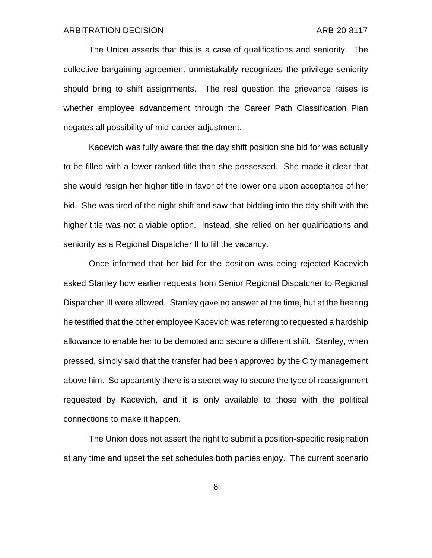The Union asserts that this is a case of qualifications and seniority. The collective bargaining agreement unmistakably recognizes the privilege seniority should bring to shift assignments. The real question the grievance raises is whether employee advancement through the Career Path Classification Plan negates all possibility of mid-career adjustment.

Kacevich was fully aware that the day shift position she bid for was actually to be filled with a lower ranked title than she possessed. She made it clear that she would resign her higher title in favor of the lower one upon acceptance of her bid. She was tired of the night shift and saw that bidding into the day shift with the higher title was not a viable option. Instead, she relied on her qualifications and seniority as a Regional Dispatcher II to fill the vacancy.

Once informed that her bid for the position was being rejected Kacevich asked Stanley how earlier requests from Senior Regional Dispatcher to Regional Dispatcher III were allowed. Stanley gave no answer at the time, but at the hearing he testified that the other employee Kacevich was referring to requested a hardship allowance to enable her to be demoted and secure a different shift. Stanley, when pressed, simply said that the transfer had been approved by the City management above him. So apparently there is a secret way to secure the type of reassignment requested by Kacevich, and it is only available to those with the political connections to make it happen.

The Union does not assert the right to submit a position-specific resignation at any time and upset the set schedules both parties enjoy. The current scenario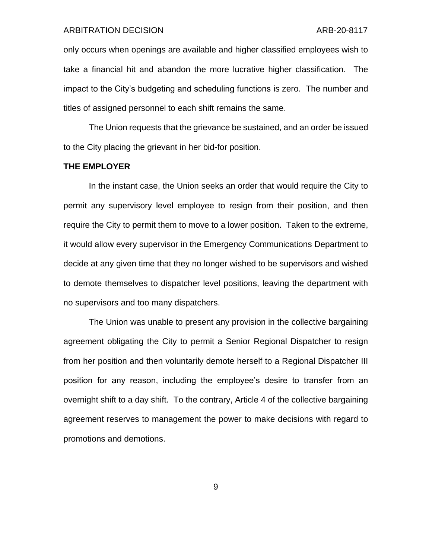#### ARBITRATION DECISION ARB-20-8117

only occurs when openings are available and higher classified employees wish to take a financial hit and abandon the more lucrative higher classification. The impact to the City's budgeting and scheduling functions is zero. The number and titles of assigned personnel to each shift remains the same.

The Union requests that the grievance be sustained, and an order be issued to the City placing the grievant in her bid-for position.

## **THE EMPLOYER**

In the instant case, the Union seeks an order that would require the City to permit any supervisory level employee to resign from their position, and then require the City to permit them to move to a lower position. Taken to the extreme, it would allow every supervisor in the Emergency Communications Department to decide at any given time that they no longer wished to be supervisors and wished to demote themselves to dispatcher level positions, leaving the department with no supervisors and too many dispatchers.

The Union was unable to present any provision in the collective bargaining agreement obligating the City to permit a Senior Regional Dispatcher to resign from her position and then voluntarily demote herself to a Regional Dispatcher III position for any reason, including the employee's desire to transfer from an overnight shift to a day shift. To the contrary, Article 4 of the collective bargaining agreement reserves to management the power to make decisions with regard to promotions and demotions.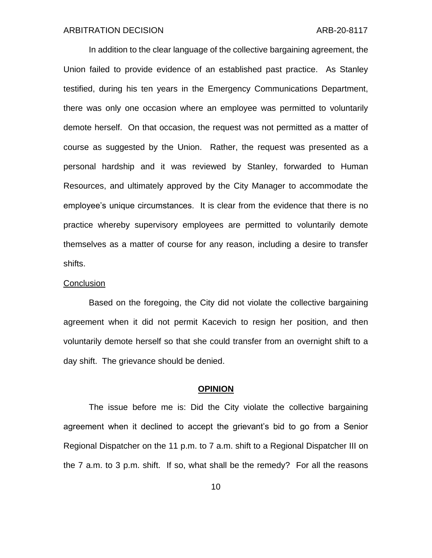In addition to the clear language of the collective bargaining agreement, the Union failed to provide evidence of an established past practice. As Stanley testified, during his ten years in the Emergency Communications Department, there was only one occasion where an employee was permitted to voluntarily demote herself. On that occasion, the request was not permitted as a matter of course as suggested by the Union. Rather, the request was presented as a personal hardship and it was reviewed by Stanley, forwarded to Human Resources, and ultimately approved by the City Manager to accommodate the employee's unique circumstances. It is clear from the evidence that there is no practice whereby supervisory employees are permitted to voluntarily demote themselves as a matter of course for any reason, including a desire to transfer shifts.

#### **Conclusion**

Based on the foregoing, the City did not violate the collective bargaining agreement when it did not permit Kacevich to resign her position, and then voluntarily demote herself so that she could transfer from an overnight shift to a day shift. The grievance should be denied.

### **OPINION**

The issue before me is: Did the City violate the collective bargaining agreement when it declined to accept the grievant's bid to go from a Senior Regional Dispatcher on the 11 p.m. to 7 a.m. shift to a Regional Dispatcher III on the 7 a.m. to 3 p.m. shift. If so, what shall be the remedy? For all the reasons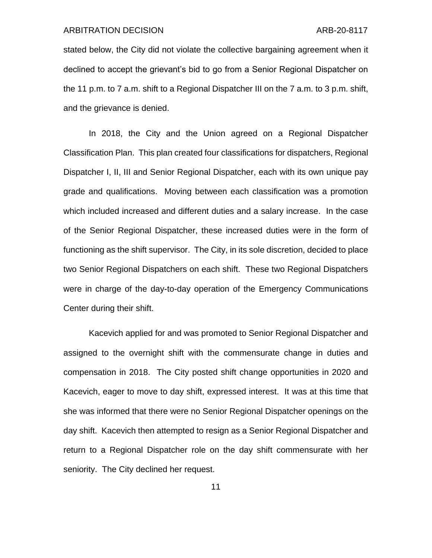#### ARBITRATION DECISION ARB-20-8117

stated below, the City did not violate the collective bargaining agreement when it declined to accept the grievant's bid to go from a Senior Regional Dispatcher on the 11 p.m. to 7 a.m. shift to a Regional Dispatcher III on the 7 a.m. to 3 p.m. shift, and the grievance is denied.

In 2018, the City and the Union agreed on a Regional Dispatcher Classification Plan. This plan created four classifications for dispatchers, Regional Dispatcher I, II, III and Senior Regional Dispatcher, each with its own unique pay grade and qualifications. Moving between each classification was a promotion which included increased and different duties and a salary increase. In the case of the Senior Regional Dispatcher, these increased duties were in the form of functioning as the shift supervisor. The City, in its sole discretion, decided to place two Senior Regional Dispatchers on each shift. These two Regional Dispatchers were in charge of the day-to-day operation of the Emergency Communications Center during their shift.

Kacevich applied for and was promoted to Senior Regional Dispatcher and assigned to the overnight shift with the commensurate change in duties and compensation in 2018. The City posted shift change opportunities in 2020 and Kacevich, eager to move to day shift, expressed interest. It was at this time that she was informed that there were no Senior Regional Dispatcher openings on the day shift. Kacevich then attempted to resign as a Senior Regional Dispatcher and return to a Regional Dispatcher role on the day shift commensurate with her seniority. The City declined her request.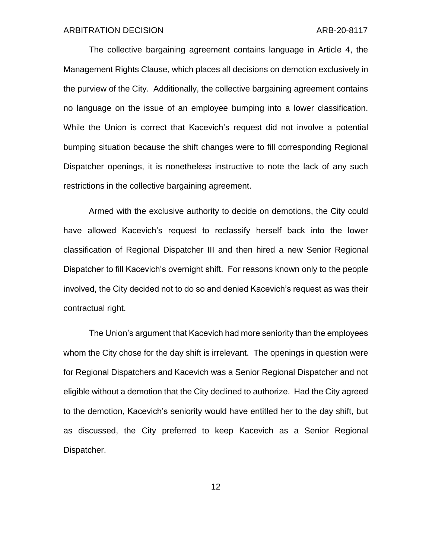The collective bargaining agreement contains language in Article 4, the Management Rights Clause, which places all decisions on demotion exclusively in the purview of the City. Additionally, the collective bargaining agreement contains no language on the issue of an employee bumping into a lower classification. While the Union is correct that Kacevich's request did not involve a potential bumping situation because the shift changes were to fill corresponding Regional Dispatcher openings, it is nonetheless instructive to note the lack of any such restrictions in the collective bargaining agreement.

Armed with the exclusive authority to decide on demotions, the City could have allowed Kacevich's request to reclassify herself back into the lower classification of Regional Dispatcher III and then hired a new Senior Regional Dispatcher to fill Kacevich's overnight shift. For reasons known only to the people involved, the City decided not to do so and denied Kacevich's request as was their contractual right.

The Union's argument that Kacevich had more seniority than the employees whom the City chose for the day shift is irrelevant. The openings in question were for Regional Dispatchers and Kacevich was a Senior Regional Dispatcher and not eligible without a demotion that the City declined to authorize. Had the City agreed to the demotion, Kacevich's seniority would have entitled her to the day shift, but as discussed, the City preferred to keep Kacevich as a Senior Regional Dispatcher.